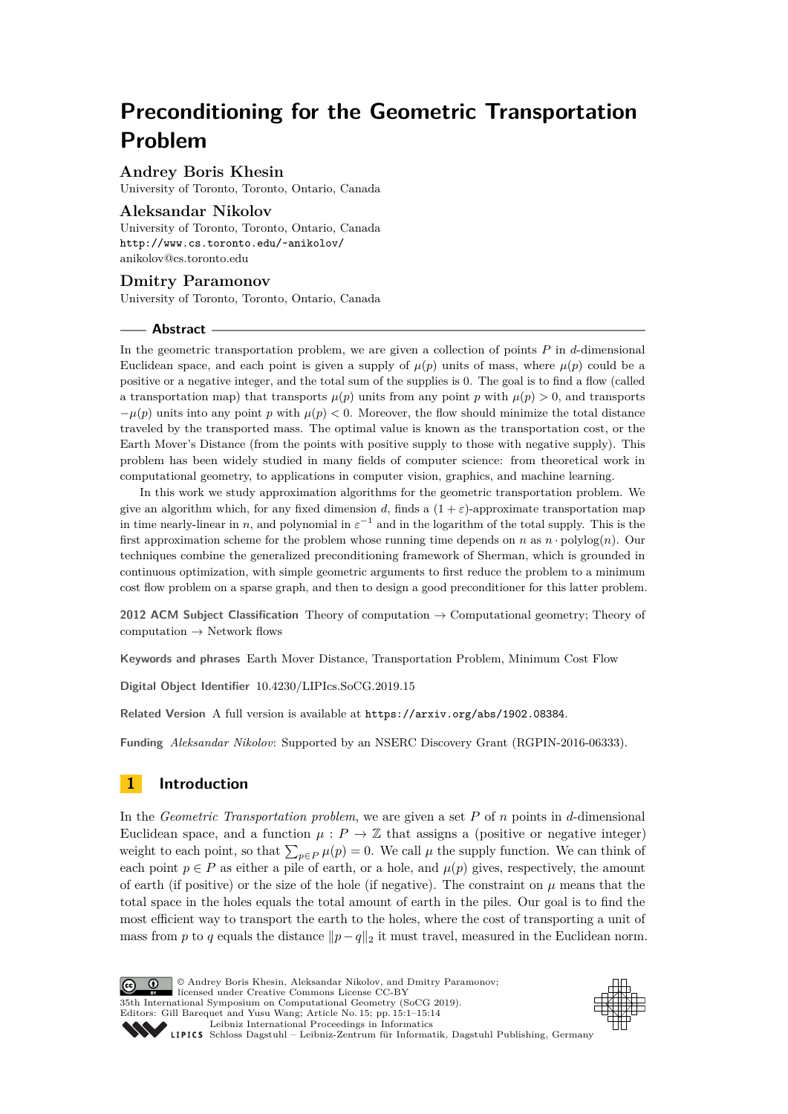# **Preconditioning for the Geometric Transportation Problem**

# **Andrey Boris Khesin**

University of Toronto, Toronto, Ontario, Canada

## **Aleksandar Nikolov**

University of Toronto, Toronto, Ontario, Canada <http://www.cs.toronto.edu/~anikolov/> [anikolov@cs.toronto.edu](mailto:anikolov@cs.toronto.edu)

# **Dmitry Paramonov**

University of Toronto, Toronto, Ontario, Canada

## **Abstract**

In the geometric transportation problem, we are given a collection of points *P* in *d*-dimensional Euclidean space, and each point is given a supply of  $\mu(p)$  units of mass, where  $\mu(p)$  could be a positive or a negative integer, and the total sum of the supplies is 0. The goal is to find a flow (called a transportation map) that transports  $\mu(p)$  units from any point p with  $\mu(p) > 0$ , and transports  $-\mu(p)$  units into any point *p* with  $\mu(p) < 0$ . Moreover, the flow should minimize the total distance traveled by the transported mass. The optimal value is known as the transportation cost, or the Earth Mover's Distance (from the points with positive supply to those with negative supply). This problem has been widely studied in many fields of computer science: from theoretical work in computational geometry, to applications in computer vision, graphics, and machine learning.

In this work we study approximation algorithms for the geometric transportation problem. We give an algorithm which, for any fixed dimension *d*, finds a  $(1 + \varepsilon)$ -approximate transportation map in time nearly-linear in *n*, and polynomial in  $\varepsilon^{-1}$  and in the logarithm of the total supply. This is the first approximation scheme for the problem whose running time depends on *n* as *n* · polylog(*n*). Our techniques combine the generalized preconditioning framework of Sherman, which is grounded in continuous optimization, with simple geometric arguments to first reduce the problem to a minimum cost flow problem on a sparse graph, and then to design a good preconditioner for this latter problem.

**2012 ACM Subject Classification** Theory of computation → Computational geometry; Theory of computation  $\rightarrow$  Network flows

**Keywords and phrases** Earth Mover Distance, Transportation Problem, Minimum Cost Flow

**Digital Object Identifier** [10.4230/LIPIcs.SoCG.2019.15](https://doi.org/10.4230/LIPIcs.SoCG.2019.15)

**Related Version** A full version is available at <https://arxiv.org/abs/1902.08384>.

**Funding** *Aleksandar Nikolov*: Supported by an NSERC Discovery Grant (RGPIN-2016-06333).

# **1 Introduction**

In the *Geometric Transportation problem*, we are given a set *P* of *n* points in *d*-dimensional Euclidean space, and a function  $\mu : P \to \mathbb{Z}$  that assigns a (positive or negative integer) weight to each point, so that  $\sum_{p \in P} \mu(p) = 0$ . We call  $\mu$  the supply function. We can think of each point  $p \in P$  as either a pile of earth, or a hole, and  $\mu(p)$  gives, respectively, the amount of earth (if positive) or the size of the hole (if negative). The constraint on  $\mu$  means that the total space in the holes equals the total amount of earth in the piles. Our goal is to find the most efficient way to transport the earth to the holes, where the cost of transporting a unit of mass from *p* to *q* equals the distance  $||p-q||_2$  it must travel, measured in the Euclidean norm.

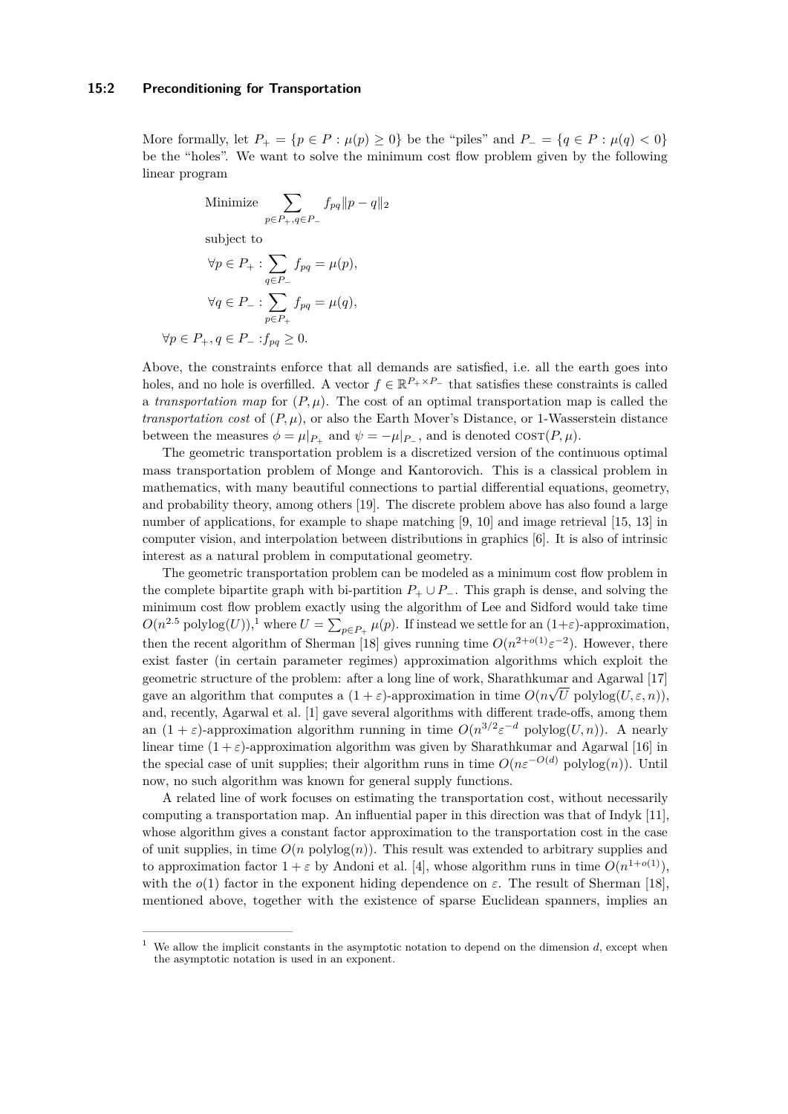#### **15:2 Preconditioning for Transportation**

More formally, let  $P_+ = \{p \in P : \mu(p) \geq 0\}$  be the "piles" and  $P_- = \{q \in P : \mu(q) < 0\}$ be the "holes". We want to solve the minimum cost flow problem given by the following linear program

Minimize 
$$
\sum_{p \in P_+, q \in P_-} f_{pq} ||p - q||_2
$$

subject to

$$
\forall p \in P_+ : \sum_{q \in P_-} f_{pq} = \mu(p),
$$

$$
\forall q \in P_- : \sum_{p \in P_+} f_{pq} = \mu(q),
$$

$$
\forall p \in P_+, q \in P_- : f_{pq} \ge 0.
$$

Above, the constraints enforce that all demands are satisfied, i.e. all the earth goes into holes, and no hole is overfilled. A vector  $f \in \mathbb{R}^{P_+ \times P_-}$  that satisfies these constraints is called a *transportation map* for  $(P, \mu)$ . The cost of an optimal transportation map is called the *transportation cost* of  $(P, \mu)$ , or also the Earth Mover's Distance, or 1-Wasserstein distance between the measures  $\phi = \mu|_{P_+}$  and  $\psi = -\mu|_{P_-}$ , and is denoted  $\cos(T(P, \mu))$ .

The geometric transportation problem is a discretized version of the continuous optimal mass transportation problem of Monge and Kantorovich. This is a classical problem in mathematics, with many beautiful connections to partial differential equations, geometry, and probability theory, among others [\[19\]](#page-13-1). The discrete problem above has also found a large number of applications, for example to shape matching [\[9,](#page-13-2) [10\]](#page-13-3) and image retrieval [\[15,](#page-13-4) [13\]](#page-13-5) in computer vision, and interpolation between distributions in graphics [\[6\]](#page-13-6). It is also of intrinsic interest as a natural problem in computational geometry.

The geometric transportation problem can be modeled as a minimum cost flow problem in the complete bipartite graph with bi-partition  $P_+ \cup P_-$ . This graph is dense, and solving the minimum cost flow problem exactly using the algorithm of Lee and Sidford would take time  $O(n^{2.5} \text{ polylog}(U))$ , where  $U = \sum_{p \in P_+} \mu(p)$ . If instead we settle for an  $(1+\varepsilon)$  $(1+\varepsilon)$  $(1+\varepsilon)$ -approximation, then the recent algorithm of Sherman [\[18\]](#page-13-7) gives running time  $O(n^{2+o(1)}\varepsilon^{-2})$ . However, there exist faster (in certain parameter regimes) approximation algorithms which exploit the geometric structure of the problem: after a long line of work, Sharathkumar and Agarwal [\[17\]](#page-13-8) gave an algorithm that computes a  $(1 + \varepsilon)$ -approximation in time  $O(n\sqrt{U} \text{ polylog}(U, \varepsilon, n))$ , and, recently, Agarwal et al. [\[1\]](#page-12-0) gave several algorithms with different trade-offs, among them an  $(1 + \varepsilon)$ -approximation algorithm running in time  $O(n^{3/2} \varepsilon^{-d} \text{ polylog}(U, n))$ . A nearly linear time  $(1 + \varepsilon)$ -approximation algorithm was given by Sharathkumar and Agarwal [\[16\]](#page-13-9) in the special case of unit supplies; their algorithm runs in time  $O(n\varepsilon^{-O(d)}$  polylog(*n*)). Until now, no such algorithm was known for general supply functions.

A related line of work focuses on estimating the transportation cost, without necessarily computing a transportation map. An influential paper in this direction was that of Indyk [\[11\]](#page-13-10), whose algorithm gives a constant factor approximation to the transportation cost in the case of unit supplies, in time  $O(n \text{ polylog}(n))$ . This result was extended to arbitrary supplies and to approximation factor  $1 + \varepsilon$  by Andoni et al. [\[4\]](#page-12-1), whose algorithm runs in time  $O(n^{1+o(1)})$ , with the  $o(1)$  factor in the exponent hiding dependence on  $\varepsilon$ . The result of Sherman [\[18\]](#page-13-7), mentioned above, together with the existence of sparse Euclidean spanners, implies an

<span id="page-1-0"></span><sup>1</sup> We allow the implicit constants in the asymptotic notation to depend on the dimension *d*, except when the asymptotic notation is used in an exponent.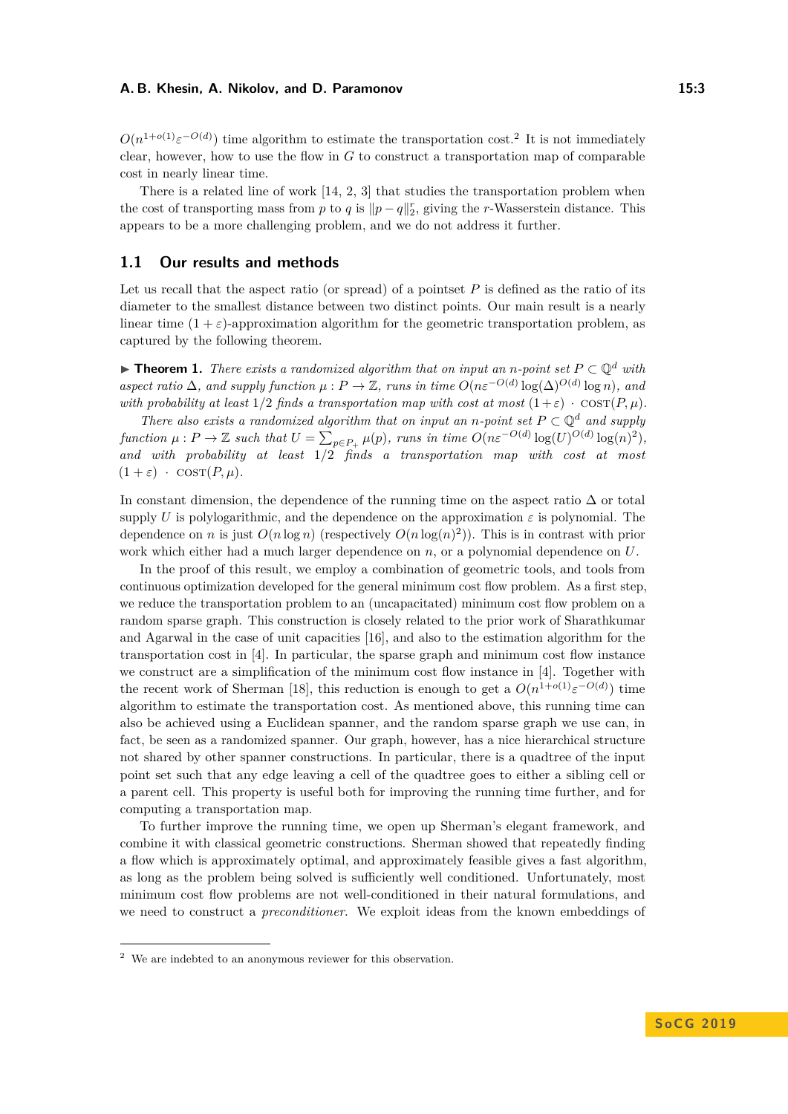$O(n^{1+o(1)}\varepsilon^{-O(d)})$  time algorithm to estimate the transportation cost.<sup>[2](#page-2-0)</sup> It is not immediately clear, however, how to use the flow in *G* to construct a transportation map of comparable cost in nearly linear time.

There is a related line of work [\[14,](#page-13-11) [2,](#page-12-2) [3\]](#page-12-3) that studies the transportation problem when the cost of transporting mass from *p* to *q* is  $||p - q||_2^r$ , giving the *r*-Wasserstein distance. This appears to be a more challenging problem, and we do not address it further.

## **1.1 Our results and methods**

Let us recall that the aspect ratio (or spread) of a pointset P is defined as the ratio of its diameter to the smallest distance between two distinct points. Our main result is a nearly linear time  $(1 + \varepsilon)$ -approximation algorithm for the geometric transportation problem, as captured by the following theorem.

<span id="page-2-1"></span>▶ **Theorem 1.** *There exists a randomized algorithm that on input an n-point set*  $P \subset \mathbb{Q}^d$  *with aspect ratio*  $\Delta$ *, and supply function*  $\mu$  :  $P \to \mathbb{Z}$ *, runs in time*  $O(n\varepsilon^{-O(d)} \log(\Delta)^{O(d)} \log n)$ *, and with probability at least*  $1/2$  *finds a transportation map with cost at most*  $(1+\varepsilon) \cdot \cos(T(P, \mu))$ .

*There also exists a randomized algorithm that on input an <i>n*-point set  $P \subset \mathbb{Q}^d$  and supply function  $\mu : P \to \mathbb{Z}$  such that  $U = \sum_{p \in P_+} \mu(p)$ , runs in time  $O(n\varepsilon^{-O(d)} \log(U)^{O(d)} \log(n)^2)$ , *and with probability at least* 1*/*2 *finds a transportation map with cost at most*  $(1 + \varepsilon) \cdot \text{COST}(P, \mu).$ 

In constant dimension, the dependence of the running time on the aspect ratio  $\Delta$  or total supply *U* is polylogarithmic, and the dependence on the approximation  $\varepsilon$  is polynomial. The dependence on *n* is just  $O(n \log n)$  (respectively  $O(n \log(n)^2)$ ). This is in contrast with prior work which either had a much larger dependence on *n*, or a polynomial dependence on *U*.

In the proof of this result, we employ a combination of geometric tools, and tools from continuous optimization developed for the general minimum cost flow problem. As a first step, we reduce the transportation problem to an (uncapacitated) minimum cost flow problem on a random sparse graph. This construction is closely related to the prior work of Sharathkumar and Agarwal in the case of unit capacities [\[16\]](#page-13-9), and also to the estimation algorithm for the transportation cost in [\[4\]](#page-12-1). In particular, the sparse graph and minimum cost flow instance we construct are a simplification of the minimum cost flow instance in [\[4\]](#page-12-1). Together with the recent work of Sherman [\[18\]](#page-13-7), this reduction is enough to get a  $O(n^{1+o(1)}\varepsilon^{-O(d)})$  time algorithm to estimate the transportation cost. As mentioned above, this running time can also be achieved using a Euclidean spanner, and the random sparse graph we use can, in fact, be seen as a randomized spanner. Our graph, however, has a nice hierarchical structure not shared by other spanner constructions. In particular, there is a quadtree of the input point set such that any edge leaving a cell of the quadtree goes to either a sibling cell or a parent cell. This property is useful both for improving the running time further, and for computing a transportation map.

To further improve the running time, we open up Sherman's elegant framework, and combine it with classical geometric constructions. Sherman showed that repeatedly finding a flow which is approximately optimal, and approximately feasible gives a fast algorithm, as long as the problem being solved is sufficiently well conditioned. Unfortunately, most minimum cost flow problems are not well-conditioned in their natural formulations, and we need to construct a *preconditioner*. We exploit ideas from the known embeddings of

<span id="page-2-0"></span><sup>2</sup> We are indebted to an anonymous reviewer for this observation.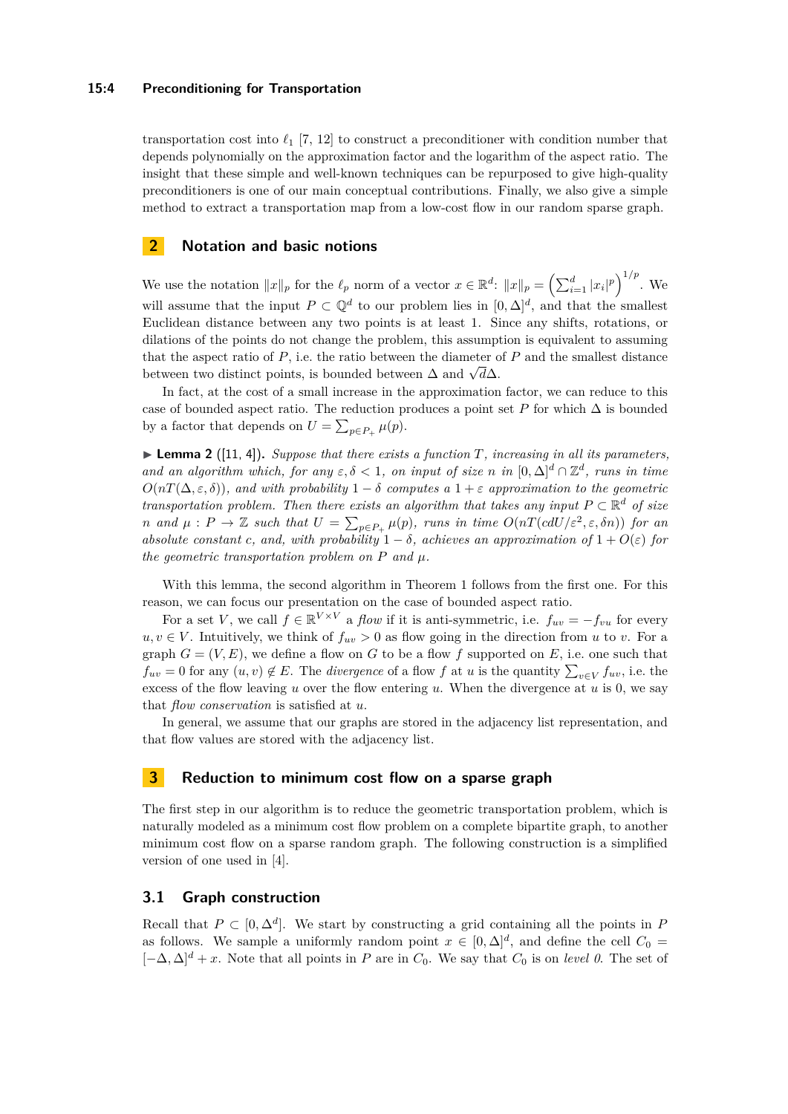### **15:4 Preconditioning for Transportation**

transportation cost into  $\ell_1$  [\[7,](#page-13-12) [12\]](#page-13-13) to construct a preconditioner with condition number that depends polynomially on the approximation factor and the logarithm of the aspect ratio. The insight that these simple and well-known techniques can be repurposed to give high-quality preconditioners is one of our main conceptual contributions. Finally, we also give a simple method to extract a transportation map from a low-cost flow in our random sparse graph.

# **2 Notation and basic notions**

We use the notation  $||x||_p$  for the  $\ell_p$  norm of a vector  $x \in \mathbb{R}^d$ :  $||x||_p = \left(\sum_{i=1}^d |x_i|^p\right)^{1/p}$ . We will assume that the input  $P \subset \mathbb{Q}^d$  to our problem lies in  $[0, \Delta]^d$ , and that the smallest Euclidean distance between any two points is at least 1. Since any shifts, rotations, or dilations of the points do not change the problem, this assumption is equivalent to assuming that the aspect ratio of *P*, i.e. the ratio between the diameter of *P* and the smallest distance that the aspect ratio of P, i.e. the ratio between the diameter control between  $\Delta$  and  $\sqrt{d}\Delta$ .

In fact, at the cost of a small increase in the approximation factor, we can reduce to this case of bounded aspect ratio. The reduction produces a point set *P* for which  $\Delta$  is bounded by a factor that depends on  $U = \sum_{p \in P_+} \mu(p)$ .

<span id="page-3-0"></span> $\blacktriangleright$  **Lemma 2** ([\[11,](#page-13-10) [4\]](#page-12-1)). *Suppose that there exists a function T, increasing in all its parameters, and an algorithm which, for any*  $\varepsilon, \delta < 1$ , *on input of size n in*  $[0, \Delta]^d \cap \mathbb{Z}^d$ , *runs in time*  $O(nT(\Delta, \varepsilon, \delta))$ *, and with probability*  $1 - \delta$  *computes a*  $1 + \varepsilon$  *approximation to the geometric transportation problem. Then there exists an algorithm that takes any input*  $P \subset \mathbb{R}^d$  of size *n* and  $\mu$ :  $P \to \mathbb{Z}$  such that  $U = \sum_{p \in P_+} \mu(p)$ , runs in time  $O(nT(cdU/\varepsilon^2, \varepsilon, \delta n))$  for an *absolute constant c*, and, with probability  $1 - \delta$ , achieves an approximation of  $1 + O(\varepsilon)$  for *the geometric transportation problem on*  $P$  *and*  $\mu$ *.* 

With this lemma, the second algorithm in Theorem [1](#page-2-1) follows from the first one. For this reason, we can focus our presentation on the case of bounded aspect ratio.

For a set *V*, we call  $f \in \mathbb{R}^{V \times V}$  a *flow* if it is anti-symmetric, i.e.  $f_{uv} = -f_{vu}$  for every  $u, v \in V$ . Intuitively, we think of  $f_{uv} > 0$  as flow going in the direction from *u* to *v*. For a graph  $G = (V, E)$ , we define a flow on G to be a flow f supported on E, i.e. one such that  $f_{uv} = 0$  for any  $(u, v) \notin E$ . The *divergence* of a flow *f* at *u* is the quantity  $\sum_{v \in V} f_{uv}$ , i.e. the excess of the flow leaving *u* over the flow entering *u*. When the divergence at *u* is 0, we say that *flow conservation* is satisfied at *u*.

In general, we assume that our graphs are stored in the adjacency list representation, and that flow values are stored with the adjacency list.

# **3 Reduction to minimum cost flow on a sparse graph**

The first step in our algorithm is to reduce the geometric transportation problem, which is naturally modeled as a minimum cost flow problem on a complete bipartite graph, to another minimum cost flow on a sparse random graph. The following construction is a simplified version of one used in [\[4\]](#page-12-1).

## **3.1 Graph construction**

Recall that  $P \subset [0, \Delta^d]$ . We start by constructing a grid containing all the points in *P* as follows. We sample a uniformly random point  $x \in [0, \Delta]^d$ , and define the cell  $C_0 =$  $[-\Delta, \Delta]^d + x$ . Note that all points in *P* are in  $C_0$ . We say that  $C_0$  is on *level 0*. The set of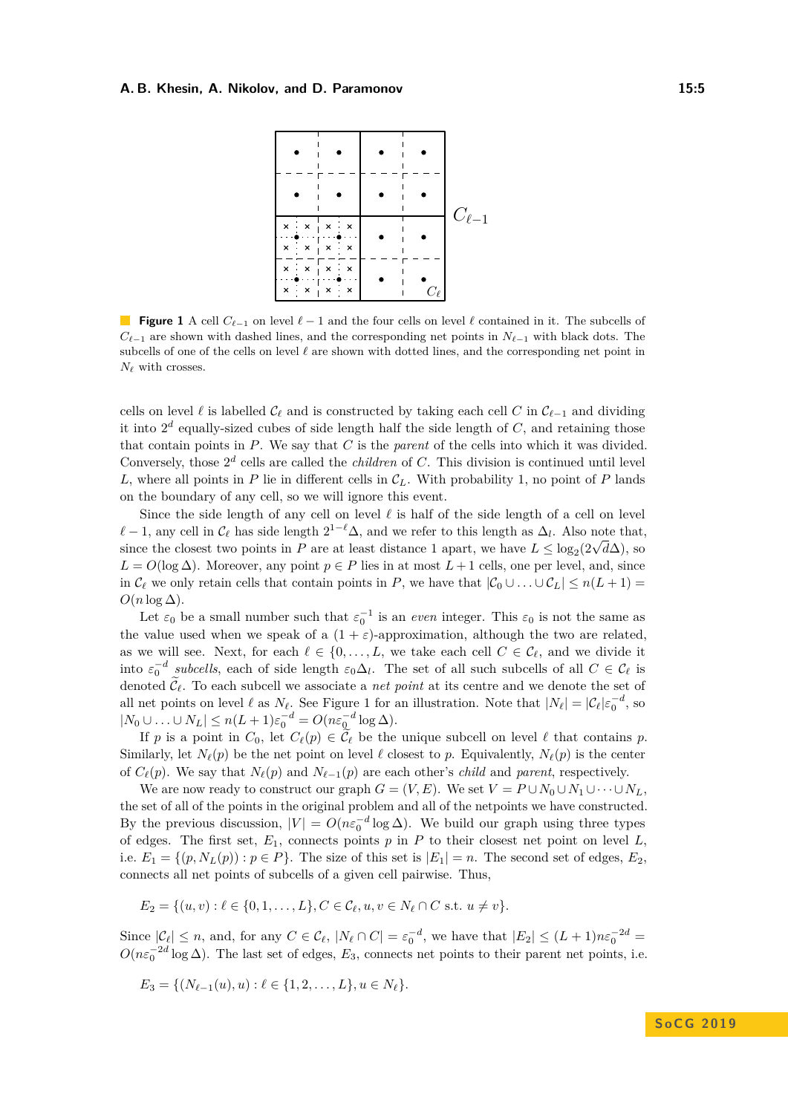<span id="page-4-0"></span>

**Figure 1** A cell  $C_{\ell-1}$  on level  $\ell-1$  and the four cells on level  $\ell$  contained in it. The subcells of *C*<sup> $\ell$ </sup>−1 are shown with dashed lines, and the corresponding net points in *N*<sup> $\ell$ </sup>−1 with black dots. The subcells of one of the cells on level  $\ell$  are shown with dotted lines, and the corresponding net point in  $N_{\ell}$  with crosses.

cells on level  $\ell$  is labelled  $C_{\ell}$  and is constructed by taking each cell *C* in  $C_{\ell-1}$  and dividing it into  $2^d$  equally-sized cubes of side length half the side length of  $C$ , and retaining those that contain points in *P*. We say that *C* is the *parent* of the cells into which it was divided. Conversely, those  $2^d$  cells are called the *children* of *C*. This division is continued until level *L*, where all points in *P* lie in different cells in  $\mathcal{C}_L$ . With probability 1, no point of *P* lands on the boundary of any cell, so we will ignore this event.

Since the side length of any cell on level  $\ell$  is half of the side length of a cell on level  $\ell - 1$ , any cell in  $\mathcal{C}_{\ell}$  has side length  $2^{1-\ell}\Delta$ , and we refer to this length as  $\Delta_{l}$ . Also note that,  $\ell = 1$ , any cen in  $C_{\ell}$  has side length  $2 \to \Delta$ , and we refer to this length as  $\Delta_l$ . Also note that since the closest two points in *P* are at least distance 1 apart, we have  $L \leq \log_2(2\sqrt{d}\Delta)$ , so  $L = O(\log \Delta)$ . Moreover, any point  $p \in P$  lies in at most  $L + 1$  cells, one per level, and, since in  $\mathcal{C}_\ell$  we only retain cells that contain points in *P*, we have that  $|\mathcal{C}_0 \cup \ldots \cup \mathcal{C}_L| \leq n(L+1)$  $O(n \log \Delta)$ .

Let  $\varepsilon_0$  be a small number such that  $\varepsilon_0^{-1}$  is an *even* integer. This  $\varepsilon_0$  is not the same as the value used when we speak of a  $(1 + \varepsilon)$ -approximation, although the two are related, as we will see. Next, for each  $\ell \in \{0, \ldots, L, w$ e take each cell  $C \in \mathcal{C}_{\ell}$ , and we divide it into  $\varepsilon_0^{-d}$  *subcells*, each of side length  $\varepsilon_0 \Delta_l$ . The set of all such subcells of all  $C \in \mathcal{C}_{\ell}$  is denoted  $\mathcal{C}_{\ell}$ . To each subcell we associate a *net point* at its centre and we denote the set of all net points on level  $\ell$  as  $N_{\ell}$ . See Figure [1](#page-4-0) for an illustration. Note that  $|N_{\ell}| = |\mathcal{C}_{\ell}| \varepsilon_0^{-d}$ , so  $|N_0 \cup \ldots \cup N_L| \leq n(L+1)\varepsilon_0^{-d} = O(n\varepsilon_0^{-d}\log\Delta).$ 

If *p* is a point in  $C_0$ , let  $C_\ell(p) \in \widetilde{\mathcal{C}}_\ell$  be the unique subcell on level  $\ell$  that contains *p*. Similarly, let  $N_\ell(p)$  be the net point on level  $\ell$  closest to *p*. Equivalently,  $N_\ell(p)$  is the center of  $C_{\ell}(p)$ . We say that  $N_{\ell}(p)$  and  $N_{\ell-1}(p)$  are each other's *child* and *parent*, respectively.

We are now ready to construct our graph  $G = (V, E)$ . We set  $V = P \cup N_0 \cup N_1 \cup \cdots \cup N_L$ , the set of all of the points in the original problem and all of the netpoints we have constructed. By the previous discussion,  $|V| = O(n\varepsilon_0^{-d} \log \Delta)$ . We build our graph using three types of edges. The first set, *E*1, connects points *p* in *P* to their closest net point on level *L*, i.e.  $E_1 = \{(p, N_L(p)) : p \in P\}$ . The size of this set is  $|E_1| = n$ . The second set of edges,  $E_2$ , connects all net points of subcells of a given cell pairwise. Thus,

$$
E_2 = \{(u, v) : \ell \in \{0, 1, \dots, L\}, C \in \mathcal{C}_{\ell}, u, v \in N_{\ell} \cap C \text{ s.t. } u \neq v\}.
$$

Since  $|\mathcal{C}_{\ell}| \leq n$ , and, for any  $C \in \mathcal{C}_{\ell}$ ,  $|N_{\ell} \cap C| = \varepsilon_0^{-d}$ , we have that  $|E_2| \leq (L+1)n\varepsilon_0^{-2d}$  $O(n\varepsilon_0^{-2d}\log\Delta)$ . The last set of edges,  $E_3$ , connects net points to their parent net points, i.e.

$$
E_3 = \{ (N_{\ell-1}(u), u) : \ell \in \{1, 2, \ldots, L\}, u \in N_{\ell} \}.
$$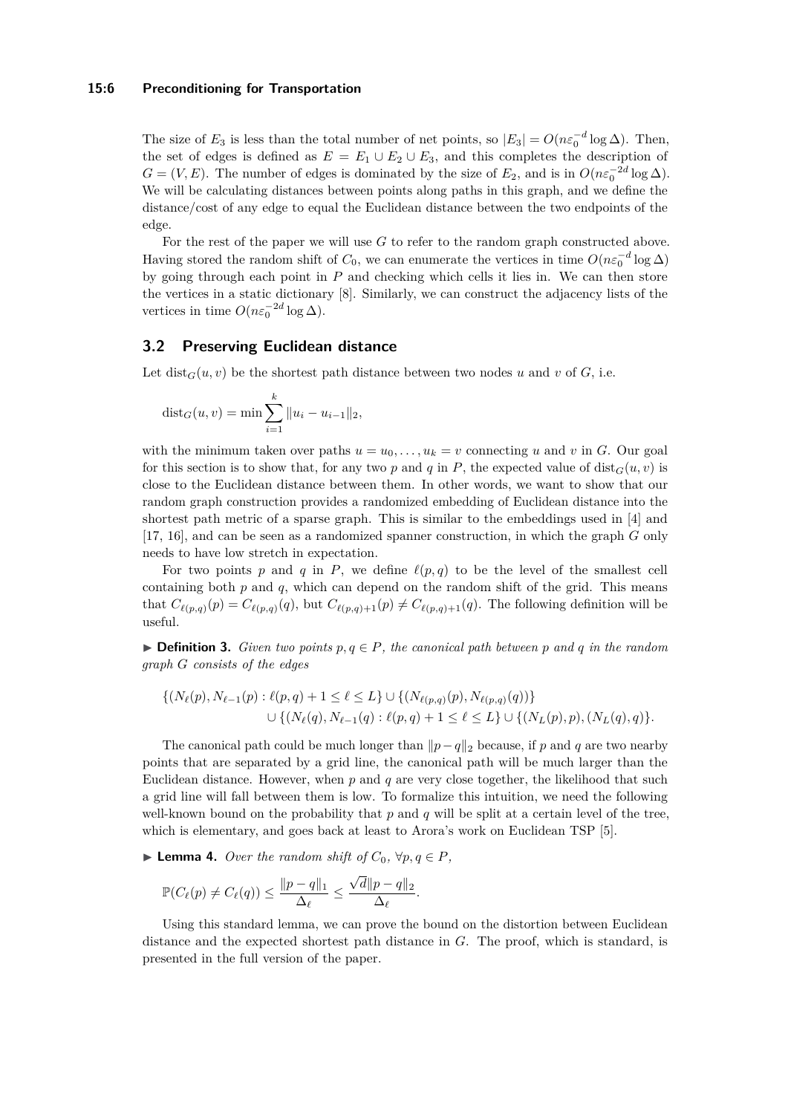#### **15:6 Preconditioning for Transportation**

The size of  $E_3$  is less than the total number of net points, so  $|E_3| = O(n\varepsilon_0^{-d} \log \Delta)$ . Then, the set of edges is defined as  $E = E_1 \cup E_2 \cup E_3$ , and this completes the description of  $G = (V, E)$ . The number of edges is dominated by the size of  $E_2$ , and is in  $O(n\varepsilon_0^{-2d} \log \Delta)$ . We will be calculating distances between points along paths in this graph, and we define the distance/cost of any edge to equal the Euclidean distance between the two endpoints of the edge.

For the rest of the paper we will use *G* to refer to the random graph constructed above. Having stored the random shift of  $C_0$ , we can enumerate the vertices in time  $O(n\varepsilon_0^{-d}\log\Delta)$ by going through each point in *P* and checking which cells it lies in. We can then store the vertices in a static dictionary [\[8\]](#page-13-14). Similarly, we can construct the adjacency lists of the vertices in time  $O(n\varepsilon_0^{-2d} \log \Delta)$ .

# <span id="page-5-0"></span>**3.2 Preserving Euclidean distance**

Let  $dist_G(u, v)$  be the shortest path distance between two nodes *u* and *v* of *G*, i.e.

$$
dist_G(u, v) = \min \sum_{i=1}^k ||u_i - u_{i-1}||_2,
$$

with the minimum taken over paths  $u = u_0, \ldots, u_k = v$  connecting *u* and *v* in *G*. Our goal for this section is to show that, for any two p and q in P, the expected value of dist<sub> $G(u, v)$ </sub> is close to the Euclidean distance between them. In other words, we want to show that our random graph construction provides a randomized embedding of Euclidean distance into the shortest path metric of a sparse graph. This is similar to the embeddings used in [\[4\]](#page-12-1) and [\[17,](#page-13-8) [16\]](#page-13-9), and can be seen as a randomized spanner construction, in which the graph *G* only needs to have low stretch in expectation.

For two points p and q in P, we define  $\ell(p,q)$  to be the level of the smallest cell containing both *p* and *q*, which can depend on the random shift of the grid. This means that  $C_{\ell(p,q)}(p) = C_{\ell(p,q)}(q)$ , but  $C_{\ell(p,q)+1}(p) \neq C_{\ell(p,q)+1}(q)$ . The following definition will be useful.

**► Definition 3.** *Given two points*  $p, q ∈ P$ *, the canonical path between*  $p$  *and*  $q$  *in the random graph G consists of the edges*

$$
\{(N_{\ell}(p), N_{\ell-1}(p) : \ell(p,q) + 1 \leq \ell \leq L\} \cup \{(N_{\ell(p,q)}(p), N_{\ell(p,q)}(q))\}
$$
  

$$
\cup \{(N_{\ell}(q), N_{\ell-1}(q) : \ell(p,q) + 1 \leq \ell \leq L\} \cup \{(N_{L}(p), p), (N_{L}(q), q)\}.
$$

The canonical path could be much longer than  $\|p-q\|_2$  because, if *p* and *q* are two nearby points that are separated by a grid line, the canonical path will be much larger than the Euclidean distance. However, when *p* and *q* are very close together, the likelihood that such a grid line will fall between them is low. To formalize this intuition, we need the following well-known bound on the probability that  $p$  and  $q$  will be split at a certain level of the tree, which is elementary, and goes back at least to Arora's work on Euclidean TSP [\[5\]](#page-12-4).

▶ **Lemma 4.** *Over the random shift of*  $C_0$ *,*  $\forall p, q \in P$ *,* 

$$
\mathbb{P}(C_{\ell}(p) \neq C_{\ell}(q)) \leq \frac{\|p-q\|_1}{\Delta_{\ell}} \leq \frac{\sqrt{d}\|p-q\|_2}{\Delta_{\ell}}.
$$

Using this standard lemma, we can prove the bound on the distortion between Euclidean distance and the expected shortest path distance in *G*. The proof, which is standard, is presented in the full version of the paper.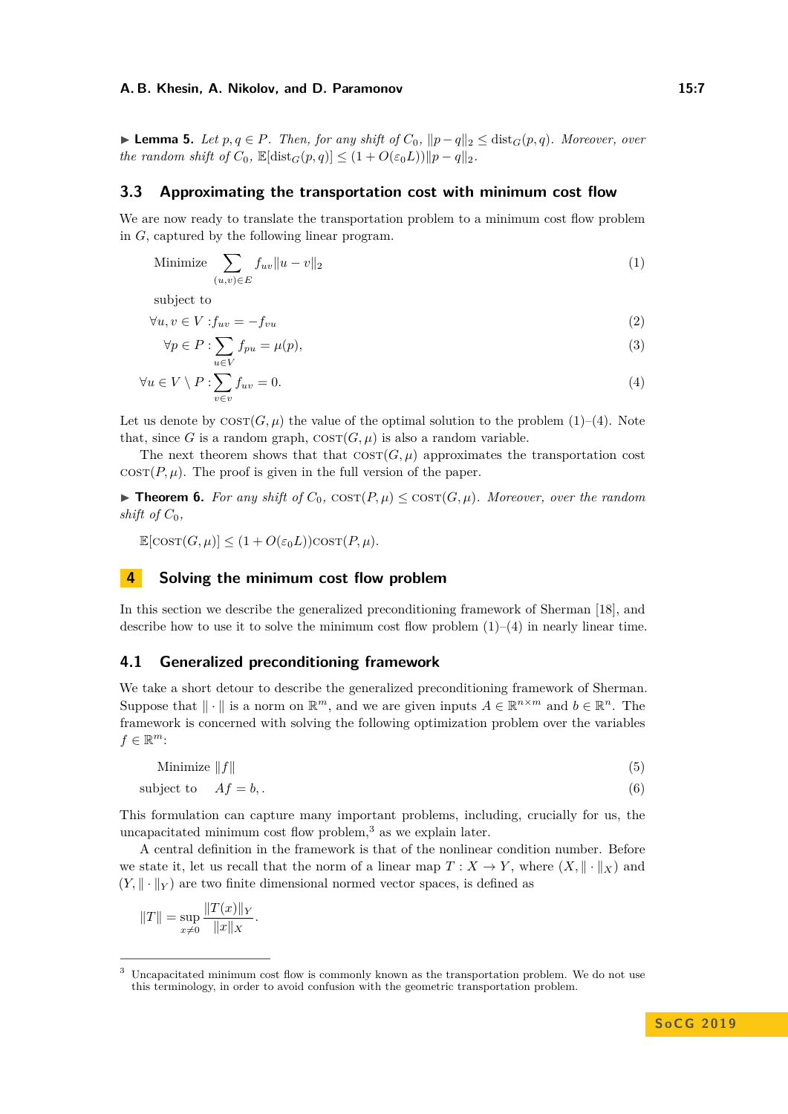► **Lemma 5.** *Let*  $p, q \in P$ *. Then, for any shift of*  $C_0$ ,  $||p - q||_2 \leq \text{dist}_G(p, q)$ *. Moreover, over the random shift of*  $C_0$ ,  $\mathbb{E}[\text{dist}_G(p,q)] \leq (1 + O(\varepsilon_0 L)) \|p - q\|_2$ .

## <span id="page-6-6"></span>**3.3 Approximating the transportation cost with minimum cost flow**

We are now ready to translate the transportation problem to a minimum cost flow problem in *G*, captured by the following linear program.

<span id="page-6-0"></span>Minimize 
$$
\sum_{(u,v)\in E} f_{uv} \|u - v\|_2
$$
 (1)

subject to

$$
\forall u, v \in V: f_{uv} = -f_{vu} \tag{2}
$$

<span id="page-6-5"></span><span id="page-6-1"></span>
$$
\forall p \in P : \sum_{u \in V} f_{pu} = \mu(p),\tag{3}
$$

$$
\forall u \in V \setminus P : \sum_{v \in v} f_{uv} = 0. \tag{4}
$$

Let us denote by  $\text{corr}(G, \mu)$  the value of the optimal solution to the problem [\(1\)](#page-6-0)–[\(4\)](#page-6-1). Note that, since *G* is a random graph,  $\cos(T(G, \mu))$  is also a random variable.

The next theorem shows that that  $\cos( G, \mu)$  approximates the transportation cost  $\cos(T, \mu)$ . The proof is given in the full version of the paper.

<span id="page-6-7"></span>▶ **Theorem 6.** *For any shift of*  $C_0$ ,  $\text{COST}(P, \mu)$  ≤  $\text{COST}(G, \mu)$ *. Moreover, over the random shift of*  $C_0$ *,* 

 $\mathbb{E}[\cos(T(\mathcal{G}, \mu))] \leq (1 + O(\varepsilon_0 L)) \cos(T(\mathcal{P}, \mu)).$ 

# **4 Solving the minimum cost flow problem**

In this section we describe the generalized preconditioning framework of Sherman [\[18\]](#page-13-7), and describe how to use it to solve the minimum cost flow problem  $(1)-(4)$  $(1)-(4)$  $(1)-(4)$  in nearly linear time.

## **4.1 Generalized preconditioning framework**

We take a short detour to describe the generalized preconditioning framework of Sherman. Suppose that  $\|\cdot\|$  is a norm on  $\mathbb{R}^m$ , and we are given inputs  $A \in \mathbb{R}^{n \times m}$  and  $b \in \mathbb{R}^n$ . The framework is concerned with solving the following optimization problem over the variables  $f \in \mathbb{R}^m$ :

<span id="page-6-4"></span><span id="page-6-3"></span>
$$
Minimize \|f\| \tag{5}
$$

subject to 
$$
Af = b
$$
, (6)

This formulation can capture many important problems, including, crucially for us, the uncapacitated minimum cost flow problem, $3$  as we explain later.

A central definition in the framework is that of the nonlinear condition number. Before we state it, let us recall that the norm of a linear map  $T: X \to Y$ , where  $(X, \|\cdot\|_X)$  and  $(Y, \|\cdot\|_Y)$  are two finite dimensional normed vector spaces, is defined as

$$
||T|| = \sup_{x \neq 0} \frac{||T(x)||_Y}{||x||_X}.
$$

<span id="page-6-2"></span><sup>3</sup> Uncapacitated minimum cost flow is commonly known as the transportation problem. We do not use this terminology, in order to avoid confusion with the geometric transportation problem.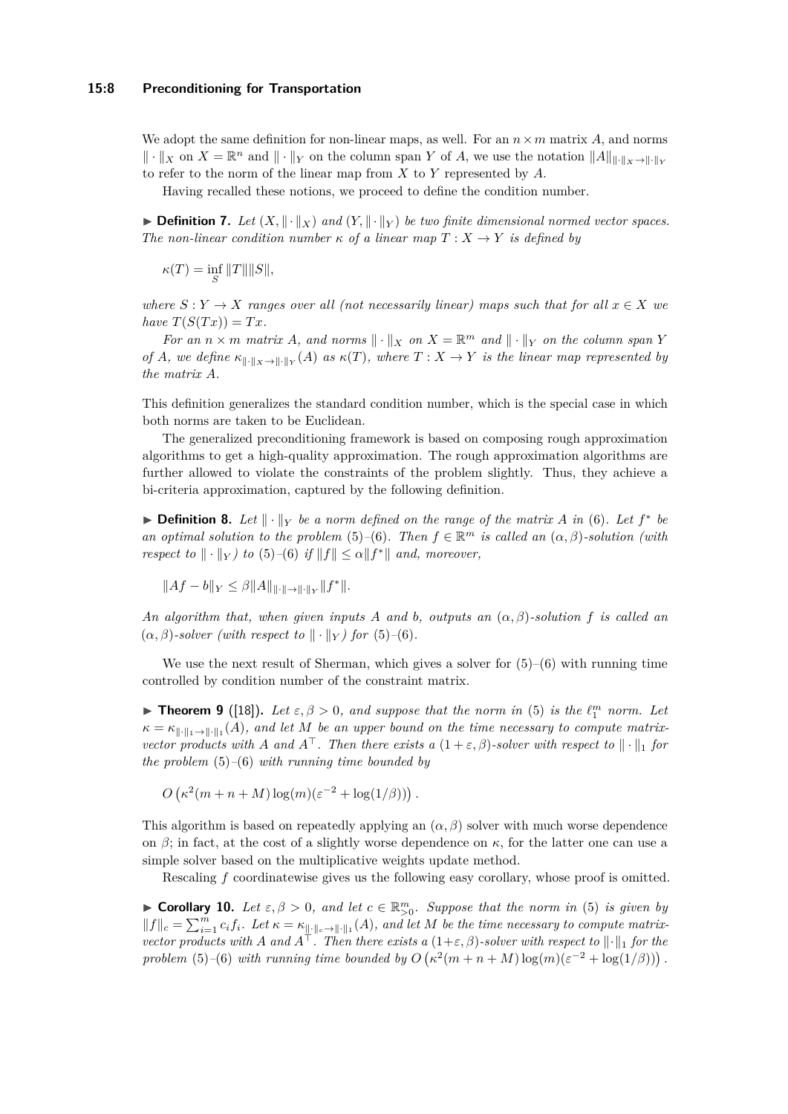We adopt the same definition for non-linear maps, as well. For an  $n \times m$  matrix A, and norms  $\|\cdot\|_X$  on  $X = \mathbb{R}^n$  and  $\|\cdot\|_Y$  on the column span Y of A, we use the notation  $\|A\|_{\|\cdot\|_X\to\|\cdot\|_Y}$ to refer to the norm of the linear map from *X* to *Y* represented by *A*.

Having recalled these notions, we proceed to define the condition number.

**Definition 7.** Let  $(X, \|\cdot\|_X)$  and  $(Y, \|\cdot\|_Y)$  be two finite dimensional normed vector spaces. *The non-linear condition number*  $\kappa$  *of a linear map*  $T: X \rightarrow Y$  *is defined by* 

 $\kappa(T) = \inf_{S} ||T|| ||S||,$ 

*where*  $S: Y \to X$  *ranges over all (not necessarily linear) maps such that for all*  $x \in X$  *we*  $have T(S(Tx)) = Tx.$ 

*For an*  $n \times m$  *matrix A, and norms*  $\|\cdot\|_X$  *on*  $X = \mathbb{R}^m$  *and*  $\|\cdot\|_Y$  *on the column span Y of A*, we define  $\kappa_{\|\cdot\|_X\to\|\cdot\|_Y}(A)$  as  $\kappa(T)$ , where  $T: X \to Y$  is the linear map represented by *the matrix A.*

This definition generalizes the standard condition number, which is the special case in which both norms are taken to be Euclidean.

The generalized preconditioning framework is based on composing rough approximation algorithms to get a high-quality approximation. The rough approximation algorithms are further allowed to violate the constraints of the problem slightly. Thus, they achieve a bi-criteria approximation, captured by the following definition.

▶ **Definition 8.** Let  $|| \cdot ||_Y$  be a norm defined on the range of the matrix A in [\(6\)](#page-6-3). Let  $f^*$  be *an optimal solution to the problem* [\(5\)](#page-6-4)–[\(6\)](#page-6-3)*. Then*  $f \in \mathbb{R}^m$  *is called an*  $(\alpha, \beta)$ *-solution (with respect to*  $\|\cdot\|_Y$ *) to* [\(5\)](#page-6-4)–[\(6\)](#page-6-3) *if*  $\|f\| \leq \alpha \|f^*\|$  *and, moreover,* 

$$
||Af - b||_Y \le \beta ||A||_{|| \cdot || \to || \cdot ||_Y} ||f^*||.
$$

*An algorithm that, when given inputs A and b, outputs an* (*α, β*)*-solution f is called an*  $(\alpha, \beta)$ -solver (with respect to  $\|\cdot\|_Y$ ) for [\(5\)](#page-6-4)–[\(6\)](#page-6-3).

We use the next result of Sherman, which gives a solver for  $(5)-(6)$  $(5)-(6)$  $(5)-(6)$  with running time controlled by condition number of the constraint matrix.

<span id="page-7-0"></span>**Findmen 9** ([\[18\]](#page-13-7)). Let  $\varepsilon, \beta > 0$ , and suppose that the norm in [\(5\)](#page-6-4) is the  $\ell_1^m$  norm. Let  $\kappa = \kappa_{\|\cdot\|_1 \to \|\cdot\|_1}(A)$ , and let M be an upper bound on the time necessary to compute matrix*vector products with A* and  $A^{\top}$ . Then there exists a  $(1 + \varepsilon, \beta)$ -solver with respect to  $\|\cdot\|_1$  for *the problem* [\(5\)](#page-6-4)*–*[\(6\)](#page-6-3) *with running time bounded by*

 $O(\kappa^2(m+n+M)\log(m)(\varepsilon^{-2} + \log(1/\beta)))$ .

This algorithm is based on repeatedly applying an  $(\alpha, \beta)$  solver with much worse dependence on  $\beta$ ; in fact, at the cost of a slightly worse dependence on  $\kappa$ , for the latter one can use a simple solver based on the multiplicative weights update method.

Rescaling *f* coordinatewise gives us the following easy corollary, whose proof is omitted.

<span id="page-7-1"></span>**► Corollary 10.** Let  $\varepsilon, \beta > 0$ , and let  $c \in \mathbb{R}_{>0}^m$ . Suppose that the norm in [\(5\)](#page-6-4) is given by  $||f||_c = \sum_{i=1}^m c_i f_i$ . Let  $\kappa = \kappa_{\|\cdot\|_c \to \|\cdot\|_1}(A)$ , and let M be the time necessary to compute matrix*vector products with A* and  $A^T$ . Then there exists a  $(1+\varepsilon,\beta)$ -solver with respect to  $\|\cdot\|_1$  for the *problem* [\(5\)](#page-6-4)–[\(6\)](#page-6-3) *with running time bounded by*  $O(\kappa^2(m+n+M)\log(m)(\varepsilon^{-2} + \log(1/\beta)))$ .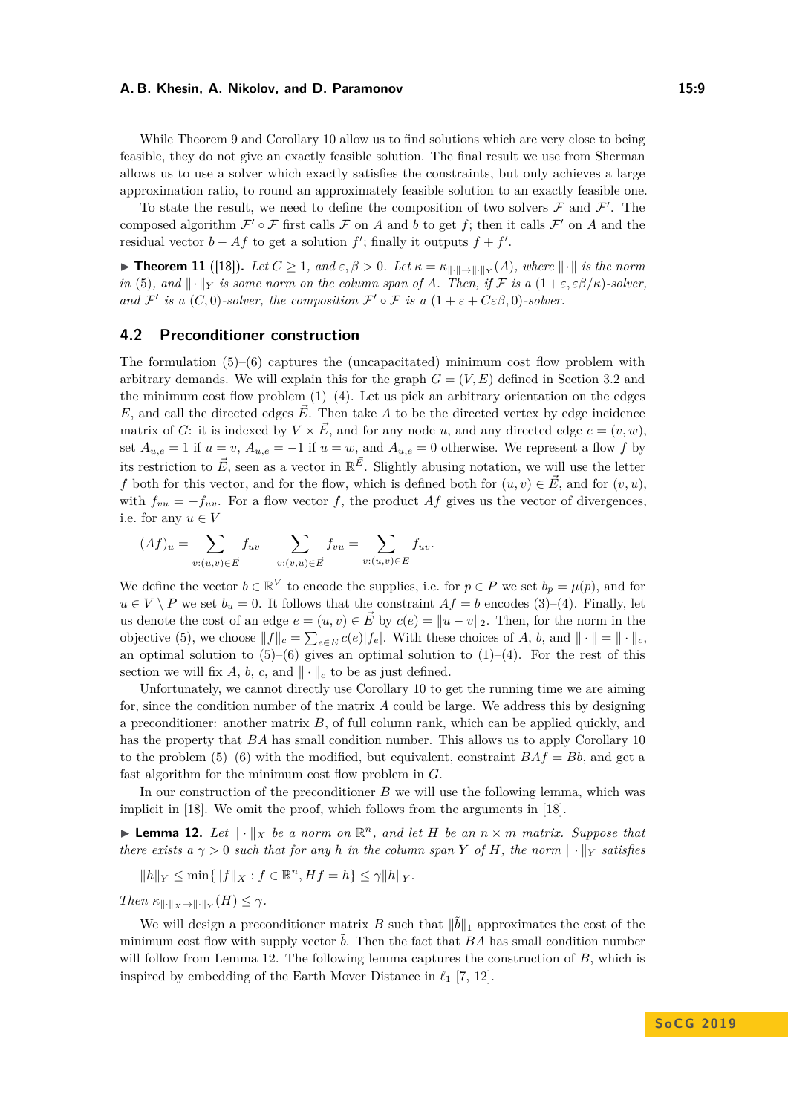While Theorem [9](#page-7-0) and Corollary [10](#page-7-1) allow us to find solutions which are very close to being feasible, they do not give an exactly feasible solution. The final result we use from Sherman allows us to use a solver which exactly satisfies the constraints, but only achieves a large approximation ratio, to round an approximately feasible solution to an exactly feasible one.

To state the result, we need to define the composition of two solvers  $\mathcal F$  and  $\mathcal F'$ . The composed algorithm  $\mathcal{F}' \circ \mathcal{F}$  first calls  $\mathcal{F}$  on *A* and *b* to get *f*; then it calls  $\mathcal{F}'$  on *A* and the residual vector  $b - Af$  to get a solution  $f'$ ; finally it outputs  $f + f'$ .

**► Theorem 11** ([\[18\]](#page-13-7)). Let  $C \geq 1$ , and  $\varepsilon, \beta > 0$ . Let  $\kappa = \kappa_{\|\cdot\| \to \|\cdot\|_Y}(A)$ , where  $\|\cdot\|$  is the norm *in* [\(5\)](#page-6-4)*, and*  $\|\cdot\|_Y$  *is some norm on the column span of A. Then, if* F *is a*  $(1+\varepsilon,\varepsilon\beta/\kappa)$ *-solver, and*  $\mathcal{F}'$  *is a*  $(C, 0)$ *-solver, the composition*  $\mathcal{F}' \circ \mathcal{F}$  *is a*  $(1 + \varepsilon + C \varepsilon \beta, 0)$ *-solver.* 

## **4.2 Preconditioner construction**

The formulation  $(5)$ – $(6)$  captures the (uncapacitated) minimum cost flow problem with arbitrary demands. We will explain this for the graph  $G = (V, E)$  defined in Section [3.2](#page-5-0) and the minimum cost flow problem  $(1)$ – $(4)$ . Let us pick an arbitrary orientation on the edges *E*, and call the directed edges  $\vec{E}$ . Then take *A* to be the directed vertex by edge incidence matrix of *G*: it is indexed by  $V \times \vec{E}$ , and for any node *u*, and any directed edge  $e = (v, w)$ . set  $A_{u,e} = 1$  if  $u = v$ ,  $A_{u,e} = -1$  if  $u = w$ , and  $A_{u,e} = 0$  otherwise. We represent a flow f by its restriction to  $\vec{E}$ , seen as a vector in  $\mathbb{R}^{\vec{E}}$ . Slightly abusing notation, we will use the letter *f* both for this vector, and for the flow, which is defined both for  $(u, v) \in \vec{E}$ , and for  $(v, u)$ . with  $f_{vu} = -f_{uv}$ . For a flow vector f, the product Af gives us the vector of divergences, i.e. for any  $u \in V$ 

$$
(Af)_u = \sum_{v:(u,v)\in \vec{E}} f_{uv} - \sum_{v:(v,u)\in \vec{E}} f_{vu} = \sum_{v:(u,v)\in E} f_{uv}.
$$

We define the vector  $b \in \mathbb{R}^V$  to encode the supplies, i.e. for  $p \in P$  we set  $b_p = \mu(p)$ , and for  $u \in V \setminus P$  we set  $b_u = 0$ . It follows that the constraint  $Af = b$  encodes [\(3\)](#page-6-5)–[\(4\)](#page-6-1). Finally, let us denote the cost of an edge  $e = (u, v) \in \vec{E}$  by  $c(e) = ||u - v||_2$ . Then, for the norm in the objective [\(5\)](#page-6-4), we choose  $||f||_c = \sum_{e \in E} c(e)|f_e|$ . With these choices of *A*, *b*, and  $|| \cdot || = || \cdot ||_c$ , an optimal solution to  $(5)$ – $(6)$  gives an optimal solution to  $(1)$ – $(4)$ . For the rest of this section we will fix *A*, *b*, *c*, and  $\|\cdot\|_c$  to be as just defined.

Unfortunately, we cannot directly use Corollary [10](#page-7-1) to get the running time we are aiming for, since the condition number of the matrix *A* could be large. We address this by designing a preconditioner: another matrix *B*, of full column rank, which can be applied quickly, and has the property that *BA* has small condition number. This allows us to apply Corollary [10](#page-7-1) to the problem  $(5)-(6)$  $(5)-(6)$  $(5)-(6)$  with the modified, but equivalent, constraint  $BAf = Bb$ , and get a fast algorithm for the minimum cost flow problem in *G*.

In our construction of the preconditioner *B* we will use the following lemma, which was implicit in [\[18\]](#page-13-7). We omit the proof, which follows from the arguments in [\[18\]](#page-13-7).

<span id="page-8-0"></span>**Example 12.** Let  $\|\cdot\|_X$  be a norm on  $\mathbb{R}^n$ , and let H be an  $n \times m$  matrix. Suppose that *there exists a*  $\gamma > 0$  *such that for any h in the column span Y of H*, *the norm*  $\|\cdot\|_Y$  *satisfies* 

$$
||h||_Y \le \min\{||f||_X : f \in \mathbb{R}^n, Hf = h\} \le \gamma ||h||_Y.
$$

*Then*  $\kappa_{\|\cdot\|_X\to\|\cdot\|_Y}(H) \leq \gamma$ *.* 

We will design a preconditioner matrix *B* such that  $\|\tilde{b}\|_1$  approximates the cost of the minimum cost flow with supply vector *b*. Then the fact that *BA* has small condition number will follow from Lemma [12.](#page-8-0) The following lemma captures the construction of *B*, which is inspired by embedding of the Earth Mover Distance in  $\ell_1$  [\[7,](#page-13-12) [12\]](#page-13-13).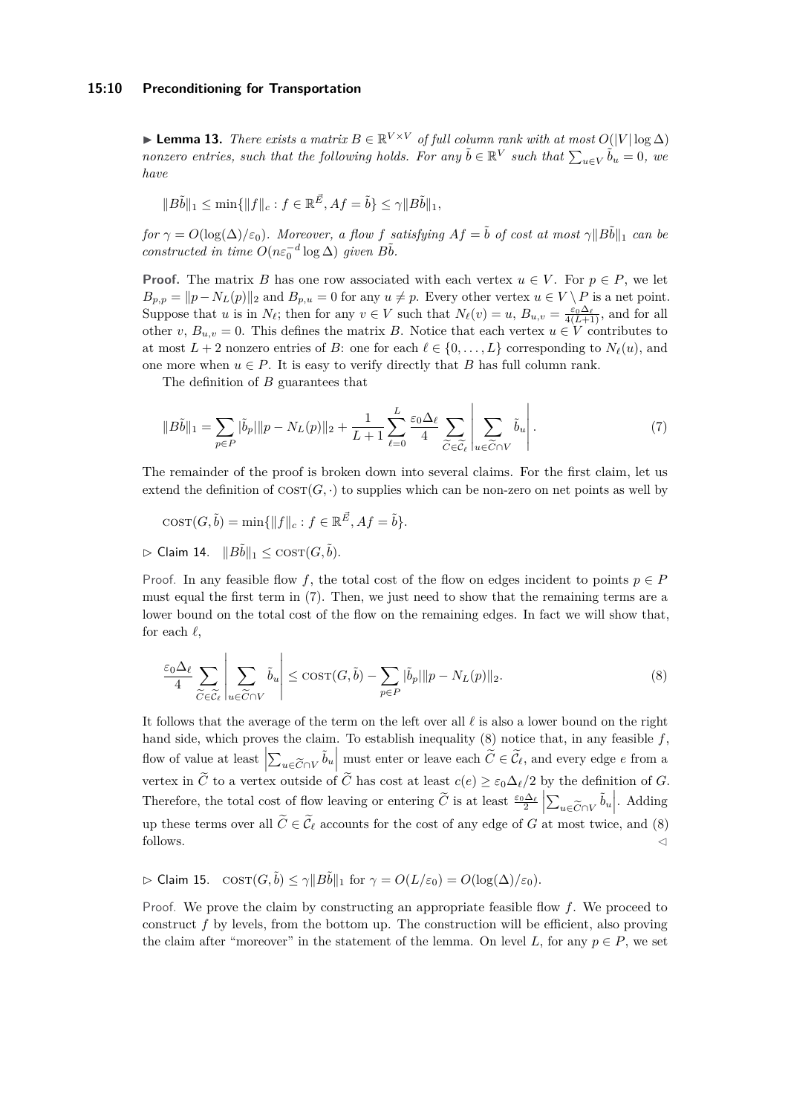#### **15:10 Preconditioning for Transportation**

► Lemma 13. *There exists a matrix*  $B \in \mathbb{R}^{V \times V}$  *of full column rank with at most*  $O(|V| \log \Delta)$ *nonzero entries, such that the following holds. For any*  $\tilde{b} \in \mathbb{R}^V$  such that  $\sum_{u \in V} \tilde{b}_u = 0$ , we *have*

$$
||B\tilde{b}||_1 \le \min\{||f||_c : f \in \mathbb{R}^{\vec{E}}, Af = \tilde{b}\} \le \gamma ||B\tilde{b}||_1,
$$

*for*  $\gamma = O(\log(\Delta)/\varepsilon_0)$ *. Moreover, a flow f satisfying*  $Af = \tilde{b}$  *of cost at most*  $\gamma ||B\tilde{b}||_1$  *can be constructed in time*  $O(n\varepsilon_0^{-d} \log \Delta)$  *given*  $B\tilde{b}$ *.* 

**Proof.** The matrix *B* has one row associated with each vertex  $u \in V$ . For  $p \in P$ , we let  $B_{p,p} = ||p - N_L(p)||_2$  and  $B_{p,u} = 0$  for any  $u \neq p$ . Every other vertex  $u \in V \setminus P$  is a net point. Suppose that *u* is in  $N_{\ell}$ ; then for any  $v \in V$  such that  $N_{\ell}(v) = u$ ,  $B_{u,v} = \frac{\varepsilon_0 \Delta_{\ell}}{4(L+1)}$ , and for all other *v*,  $B_{u,v} = 0$ . This defines the matrix *B*. Notice that each vertex  $u \in V$  contributes to at most  $L + 2$  nonzero entries of *B*: one for each  $\ell \in \{0, \ldots, L\}$  corresponding to  $N_{\ell}(u)$ , and one more when  $u \in P$ . It is easy to verify directly that *B* has full column rank.

<span id="page-9-0"></span>The definition of *B* guarantees that

$$
||B\tilde{b}||_1 = \sum_{p \in P} |\tilde{b}_p||p - N_L(p)||_2 + \frac{1}{L+1} \sum_{\ell=0}^L \frac{\varepsilon_0 \Delta_\ell}{4} \sum_{\widetilde{C} \in \widetilde{\mathcal{C}}_\ell} \left| \sum_{u \in \widetilde{C} \cap V} \tilde{b}_u \right|.
$$
 (7)

The remainder of the proof is broken down into several claims. For the first claim, let us extend the definition of  $\text{cosr}(G, \cdot)$  to supplies which can be non-zero on net points as well by

$$
COST(G, \tilde{b}) = \min\{\|f\|_c : f \in \mathbb{R}^{\vec{E}}, Af = \tilde{b}\}.
$$

 $\triangleright$  Claim 14.  $||B\tilde{b}||_1 \leq \text{COST}(G, \tilde{b}).$ 

Proof. In any feasible flow f, the total cost of the flow on edges incident to points  $p \in P$ must equal the first term in [\(7\)](#page-9-0). Then, we just need to show that the remaining terms are a lower bound on the total cost of the flow on the remaining edges. In fact we will show that, for each  $\ell$ ,

<span id="page-9-1"></span>
$$
\frac{\varepsilon_0 \Delta_\ell}{4} \sum_{\widetilde{C} \in \widetilde{\mathcal{C}}_\ell} \left| \sum_{u \in \widetilde{C} \cap V} \widetilde{b}_u \right| \leq \text{COST}(G, \widetilde{b}) - \sum_{p \in P} |\widetilde{b}_p| \|p - N_L(p)\|_2.
$$
\n(8)

It follows that the average of the term on the left over all  $\ell$  is also a lower bound on the right hand side, which proves the claim. To establish inequality [\(8\)](#page-9-1) notice that, in any feasible *f*, flow of value at least  $\left|\sum_{u \in \widetilde{C} \cap V} \tilde{b}_u\right|$  must enter or leave each  $\widetilde{C} \in \widetilde{\mathcal{C}}_{\ell}$ , and every edge *e* from a  $\vert \angle u \in C \cap V^{ou} \vert$ vertex in *C* to a vertex outside of *C* has cost at least  $c(e) \geq \varepsilon_0 \Delta_{\ell}/2$  by the definition of *G*. Therefore, the total cost of flow leaving or entering  $\widetilde{C}$  is at least  $\frac{\varepsilon_0 \Delta_\ell}{2} \left| \sum_{u \in \widetilde{C} \cap V} \widetilde{b}_u \right|$ . Adding  $\vert \angle u \in C \cap V$ up these terms over all  $C \in \mathcal{C}_{\ell}$  accounts for the cost of any edge of *G* at most twice, and [\(8\)](#page-9-1) follows.  $\triangleleft$ 

 $\triangleright$  Claim 15.  $\cos(\mathcal{G}, \tilde{b}) \leq \gamma ||B\tilde{b}||_1$  for  $\gamma = O(L/\varepsilon_0) = O(\log(\Delta)/\varepsilon_0)$ .

Proof. We prove the claim by constructing an appropriate feasible flow *f*. We proceed to construct *f* by levels, from the bottom up. The construction will be efficient, also proving the claim after "moreover" in the statement of the lemma. On level *L*, for any  $p \in P$ , we set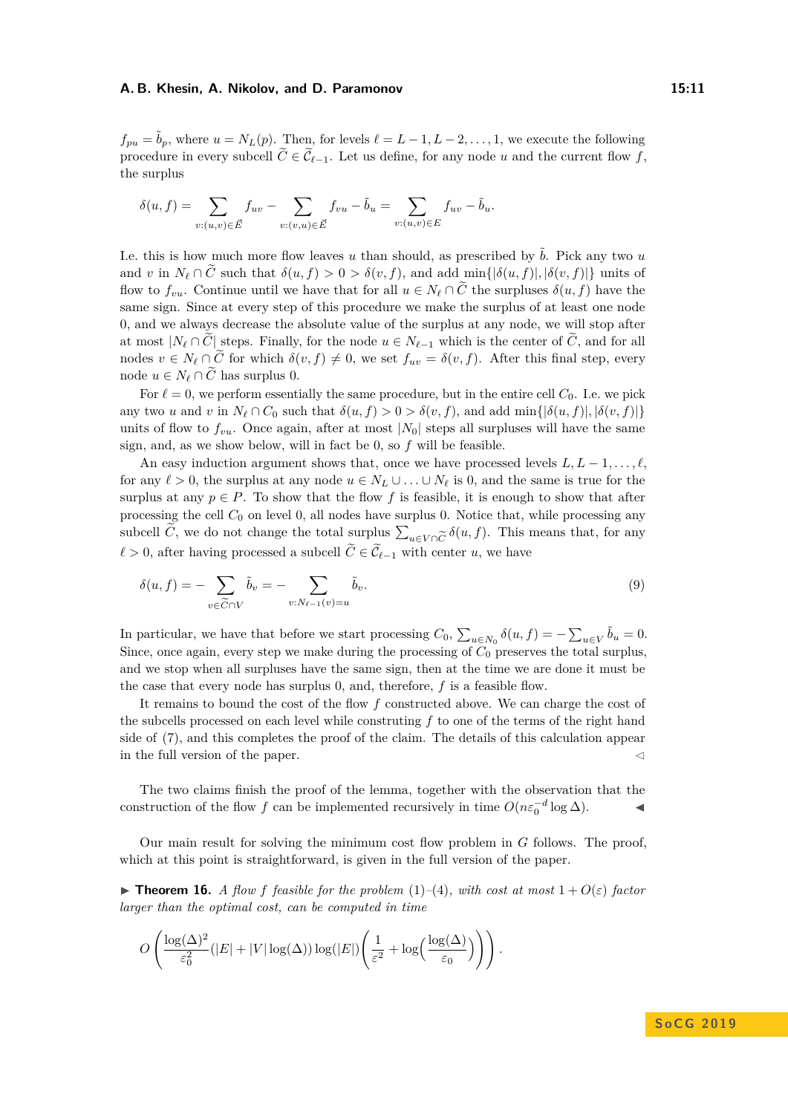$f_{pu} = \tilde{b}_p$ , where  $u = N_L(p)$ . Then, for levels  $\ell = L - 1, L - 2, \ldots, 1$ , we execute the following procedure in every subcell  $\widetilde{C} \in \widetilde{\mathcal{C}}_{\ell-1}$ . Let us define, for any node *u* and the current flow *f*, the surplus

$$
\delta(u,f) = \sum_{v:(u,v)\in \vec{E}} f_{uv} - \sum_{v:(v,u)\in \vec{E}} f_{vu} - \tilde{b}_u = \sum_{v:(u,v)\in E} f_{uv} - \tilde{b}_u.
$$

I.e. this is how much more flow leaves  $u$  than should, as prescribed by  $\tilde{b}$ . Pick any two  $u$ and *v* in  $N_{\ell} \cap \tilde{C}$  such that  $\delta(u, f) > 0 > \delta(v, f)$ , and add min{ $|\delta(u, f)|, |\delta(v, f)|$ } units of flow to  $f_{vu}$ . Continue until we have that for all  $u \in N_{\ell} \cap \tilde{C}$  the surpluses  $\delta(u, f)$  have the same sign. Since at every step of this procedure we make the surplus of at least one node 0, and we always decrease the absolute value of the surplus at any node, we will stop after at most  $|N_\ell \cap C|$  steps. Finally, for the node  $u \in N_{\ell-1}$  which is the center of  $C$ , and for all nodes  $v \in N_\ell \cap \tilde{C}$  for which  $\delta(v, f) \neq 0$ , we set  $f_{uv} = \delta(v, f)$ . After this final step, every node *u* ∈  $N_\ell$  ∩  $\tilde{C}$  has surplus 0.

For  $\ell = 0$ , we perform essentially the same procedure, but in the entire cell  $C_0$ . I.e. we pick any two *u* and *v* in  $N_{\ell} \cap C_0$  such that  $\delta(u, f) > 0 > \delta(v, f)$ , and add min{ $|\delta(u, f)|, |\delta(v, f)|$ } units of flow to  $f_{vu}$ . Once again, after at most  $|N_0|$  steps all surpluses will have the same sign, and, as we show below, will in fact be 0, so *f* will be feasible.

An easy induction argument shows that, once we have processed levels  $L, L-1, \ldots, \ell$ , for any  $\ell > 0$ , the surplus at any node  $u \in N_L \cup ... \cup N_{\ell}$  is 0, and the same is true for the surplus at any  $p \in P$ . To show that the flow f is feasible, it is enough to show that after processing the cell  $C_0$  on level 0, all nodes have surplus 0. Notice that, while processing any subcell *C*, we do not change the total surplus  $\sum_{u \in V \cap \widetilde{C}} \delta(u, f)$ . This means that, for any *u*∈*V* ∩*C*<br>*r*ith cor  $\ell > 0$ , after having processed a subcell  $C \in \mathcal{C}_{\ell-1}$  with center *u*, we have

$$
\delta(u, f) = -\sum_{v \in \widetilde{C} \cap V} \widetilde{b}_v = -\sum_{v : N_{\ell-1}(v) = u} \widetilde{b}_v.
$$
\n(9)

In particular, we have that before we start processing  $C_0$ ,  $\sum_{u \in N_0} \delta(u, f) = -\sum_{u \in V} \tilde{b}_u = 0$ . Since, once again, every step we make during the processing of *C*<sup>0</sup> preserves the total surplus, and we stop when all surpluses have the same sign, then at the time we are done it must be the case that every node has surplus 0, and, therefore, *f* is a feasible flow.

It remains to bound the cost of the flow *f* constructed above. We can charge the cost of the subcells processed on each level while construting *f* to one of the terms of the right hand side of [\(7\)](#page-9-0), and this completes the proof of the claim. The details of this calculation appear in the full version of the paper.  $\triangleleft$ 

The two claims finish the proof of the lemma, together with the observation that the construction of the flow *f* can be implemented recursively in time  $O(n\varepsilon_0^{-d} \log \Delta)$ .

Our main result for solving the minimum cost flow problem in *G* follows. The proof, which at this point is straightforward, is given in the full version of the paper.

<span id="page-10-0"></span>**Find 16.** *A flow f feasible for the problem* [\(1\)](#page-6-0)–[\(4\)](#page-6-1)*, with cost at most*  $1 + O(\varepsilon)$  *factor larger than the optimal cost, can be computed in time*

$$
O\left(\frac{\log(\Delta)^2}{\varepsilon_0^2}(|E|+|V|\log(\Delta))\log(|E|)\left(\frac{1}{\varepsilon^2}+\log\left(\frac{\log(\Delta)}{\varepsilon_0}\right)\right)\right).
$$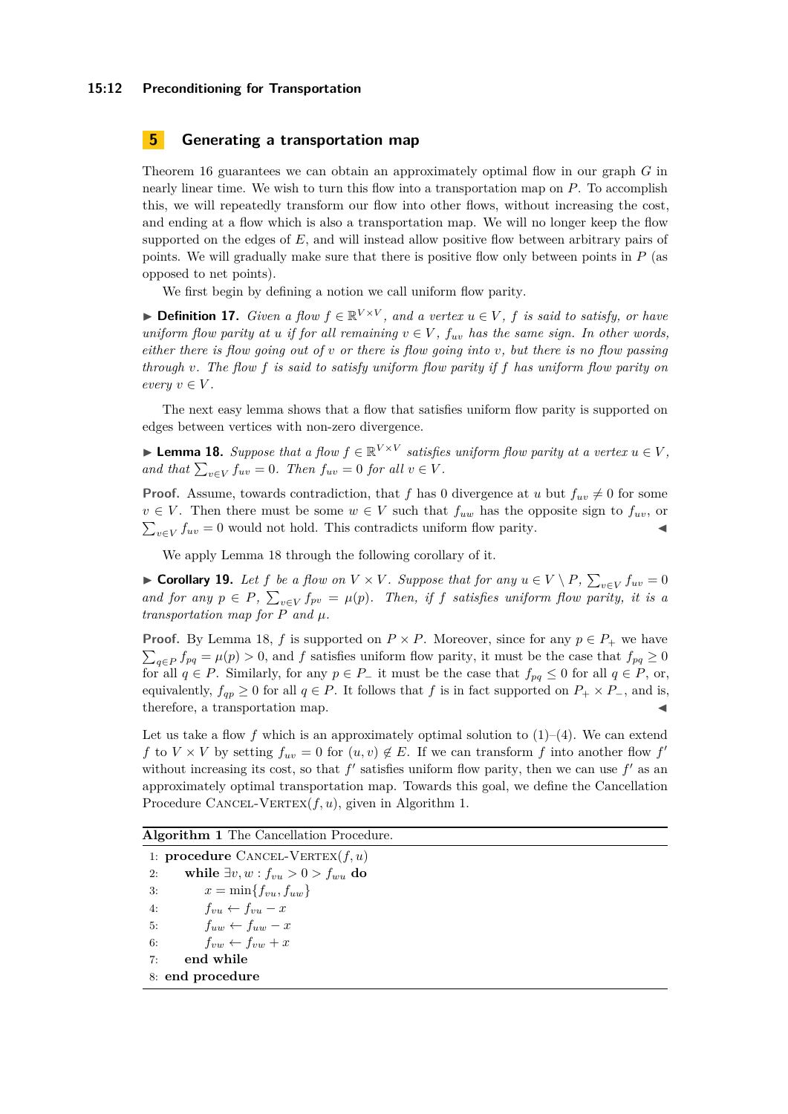#### **15:12 Preconditioning for Transportation**

# **5 Generating a transportation map**

Theorem [16](#page-10-0) guarantees we can obtain an approximately optimal flow in our graph *G* in nearly linear time. We wish to turn this flow into a transportation map on *P*. To accomplish this, we will repeatedly transform our flow into other flows, without increasing the cost, and ending at a flow which is also a transportation map. We will no longer keep the flow supported on the edges of E, and will instead allow positive flow between arbitrary pairs of points. We will gradually make sure that there is positive flow only between points in *P* (as opposed to net points).

We first begin by defining a notion we call uniform flow parity.

▶ **Definition 17.** *Given a flow*  $f \in \mathbb{R}^{V \times V}$ , and a vertex  $u \in V$ ,  $f$  is said to satisfy, or have *uniform flow parity at u if for all remaining*  $v \in V$ ,  $f_{uv}$  *has the same sign. In other words, either there is flow going out of v or there is flow going into v, but there is no flow passing through v. The flow f is said to satisfy uniform flow parity if f has uniform flow parity on*  $every \ v \in V.$ 

The next easy lemma shows that a flow that satisfies uniform flow parity is supported on edges between vertices with non-zero divergence.

<span id="page-11-0"></span>► **Lemma 18.** *Suppose that a flow*  $f \in \mathbb{R}^{V \times V}$  *satisfies uniform flow parity at a vertex*  $u \in V$ , *and that*  $\sum_{v \in V} f_{uv} = 0$ *. Then*  $f_{uv} = 0$  *for all*  $v \in V$ *.* 

**Proof.** Assume, towards contradiction, that *f* has 0 divergence at *u* but  $f_{uv} \neq 0$  for some  $v \in V$ . Then there must be some  $w \in V$  such that  $f_{uw}$  has the opposite sign to  $f_{uv}$ , or  $\sum_{v \in V} f_{uv} = 0$  would not hold. This contradicts uniform flow parity.

We apply Lemma [18](#page-11-0) through the following corollary of it.

<span id="page-11-2"></span>▶ **Corollary 19.** Let *f* be a flow on  $V \times V$ . Suppose that for any  $u \in V \setminus P$ ,  $\sum_{v \in V} f_{uv} = 0$ *and for any*  $p \in P$ ,  $\sum_{v \in V} f_{pv} = \mu(p)$ . Then, if *f* satisfies uniform flow parity, it is a *transportation map for*  $P$  *and*  $\mu$ *.* 

**Proof.** By Lemma [18,](#page-11-0) *f* is supported on  $P \times P$ . Moreover, since for any  $p \in P_+$  we have  $\sum_{q \in P} f_{pq} = \mu(p) > 0$ , and *f* satisfies uniform flow parity, it must be the case that  $f_{pq} \ge 0$ for all  $q \in P$ . Similarly, for any  $p \in P_-\$  it must be the case that  $f_{pq} \leq 0$  for all  $q \in P$ , or, equivalently,  $f_{qp} \geq 0$  for all  $q \in P$ . It follows that *f* is in fact supported on  $P_+ \times P_-$ , and is, therefore, a transportation map.

Let us take a flow f which is an approximately optimal solution to  $(1)-(4)$  $(1)-(4)$  $(1)-(4)$ . We can extend *f* to *V* × *V* by setting  $f_{uv} = 0$  for  $(u, v) \notin E$ . If we can transform *f* into another flow  $f'$ without increasing its cost, so that  $f'$  satisfies uniform flow parity, then we can use  $f'$  as an approximately optimal transportation map. Towards this goal, we define the Cancellation Procedure CANCEL-VERTEX $(f, u)$ , given in Algorithm [1.](#page-11-1)

<span id="page-11-1"></span>**Algorithm 1** The Cancellation Procedure.

1: **procedure** CANCEL-VERTEX $(f, u)$ 2: while  $\exists v, w : f_{vu} > 0 > f_{wu}$  do 3:  $x = \min\{f_{vu}, f_{uw}\}$ 4:  $f_{vu} \leftarrow f_{vu} - x$ 5:  $f_{uw} \leftarrow f_{uw} - x$ 6:  $f_{vw} \leftarrow f_{vw} + x$ 7: **end while** 8: **end procedure**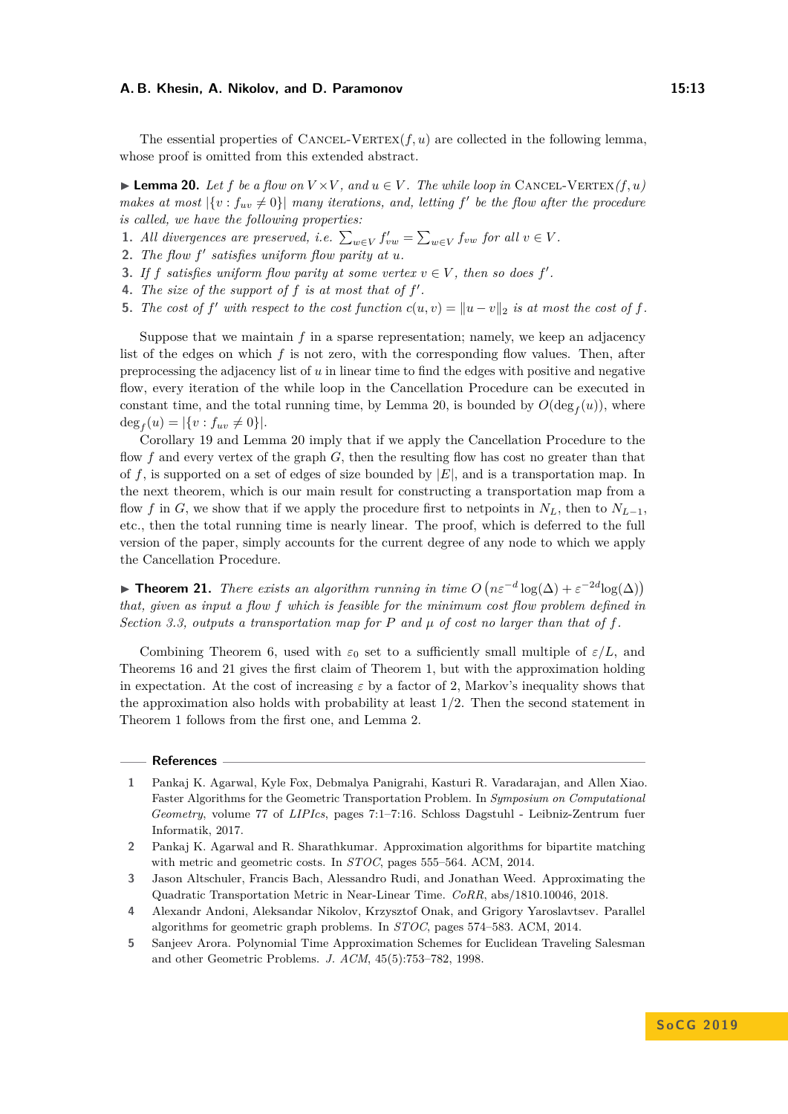The essential properties of  $\text{CANCE-VERTEX}(f, u)$  are collected in the following lemma, whose proof is omitted from this extended abstract.

<span id="page-12-5"></span>▶ **Lemma 20.** *Let f be a flow on*  $V \times V$ *, and*  $u \in V$ *. The while loop in* CANCEL-VERTEX $(f, u)$ *makes at most*  $|\{v : f_{uv} \neq 0\}|$  *many iterations, and, letting*  $f'$  *be the flow after the procedure is called, we have the following properties:*

- **1.** All divergences are preserved, i.e.  $\sum_{w \in V} f'_{vw} = \sum_{w \in V} f_{vw}$  for all  $v \in V$ .
- 2. The flow  $f'$  satisfies uniform flow parity at  $u$ .
- **3.** If *f* satisfies uniform flow parity at some vertex  $v \in V$ , then so does  $f'$ .
- **4.** *The size of the support of*  $f$  *is at most that of*  $f'$ *.*
- **5.** The cost of  $f'$  with respect to the cost function  $c(u, v) = ||u v||_2$  is at most the cost of  $f$ .

Suppose that we maintain *f* in a sparse representation; namely, we keep an adjacency list of the edges on which *f* is not zero, with the corresponding flow values. Then, after preprocessing the adjacency list of *u* in linear time to find the edges with positive and negative flow, every iteration of the while loop in the Cancellation Procedure can be executed in constant time, and the total running time, by Lemma [20,](#page-12-5) is bounded by  $O(\deg_f(u))$ , where  $\deg_f(u) = |\{v : f_{uv} \neq 0\}|.$ 

Corollary [19](#page-11-2) and Lemma [20](#page-12-5) imply that if we apply the Cancellation Procedure to the flow *f* and every vertex of the graph *G*, then the resulting flow has cost no greater than that of *f*, is supported on a set of edges of size bounded by |*E*|, and is a transportation map. In the next theorem, which is our main result for constructing a transportation map from a flow *f* in *G*, we show that if we apply the procedure first to netpoints in  $N_L$ , then to  $N_{L-1}$ , etc., then the total running time is nearly linear. The proof, which is deferred to the full version of the paper, simply accounts for the current degree of any node to which we apply the Cancellation Procedure.

<span id="page-12-6"></span>**► Theorem 21.** *There exists an algorithm running in time*  $O(n\varepsilon^{-d} \log(\Delta) + \varepsilon^{-2d} \log(\Delta))$ *that, given as input a flow f which is feasible for the minimum cost flow problem defined in Section* [3.3,](#page-6-6) *outputs a transportation map for P and*  $\mu$  *of cost no larger than that of*  $f$ *.* 

Combining Theorem [6,](#page-6-7) used with  $\varepsilon_0$  set to a sufficiently small multiple of  $\varepsilon/L$ , and Theorems [16](#page-10-0) and [21](#page-12-6) gives the first claim of Theorem [1,](#page-2-1) but with the approximation holding in expectation. At the cost of increasing  $\varepsilon$  by a factor of 2, Markov's inequality shows that the approximation also holds with probability at least 1*/*2. Then the second statement in Theorem [1](#page-2-1) follows from the first one, and Lemma [2.](#page-3-0)

#### **References**

- <span id="page-12-0"></span>**1** Pankaj K. Agarwal, Kyle Fox, Debmalya Panigrahi, Kasturi R. Varadarajan, and Allen Xiao. Faster Algorithms for the Geometric Transportation Problem. In *Symposium on Computational Geometry*, volume 77 of *LIPIcs*, pages 7:1–7:16. Schloss Dagstuhl - Leibniz-Zentrum fuer Informatik, 2017.
- <span id="page-12-2"></span>**2** Pankaj K. Agarwal and R. Sharathkumar. Approximation algorithms for bipartite matching with metric and geometric costs. In *STOC*, pages 555–564. ACM, 2014.
- <span id="page-12-3"></span>**3** Jason Altschuler, Francis Bach, Alessandro Rudi, and Jonathan Weed. Approximating the Quadratic Transportation Metric in Near-Linear Time. *CoRR*, abs/1810.10046, 2018.
- <span id="page-12-1"></span>**4** Alexandr Andoni, Aleksandar Nikolov, Krzysztof Onak, and Grigory Yaroslavtsev. Parallel algorithms for geometric graph problems. In *STOC*, pages 574–583. ACM, 2014.
- <span id="page-12-4"></span>**5** Sanjeev Arora. Polynomial Time Approximation Schemes for Euclidean Traveling Salesman and other Geometric Problems. *J. ACM*, 45(5):753–782, 1998.